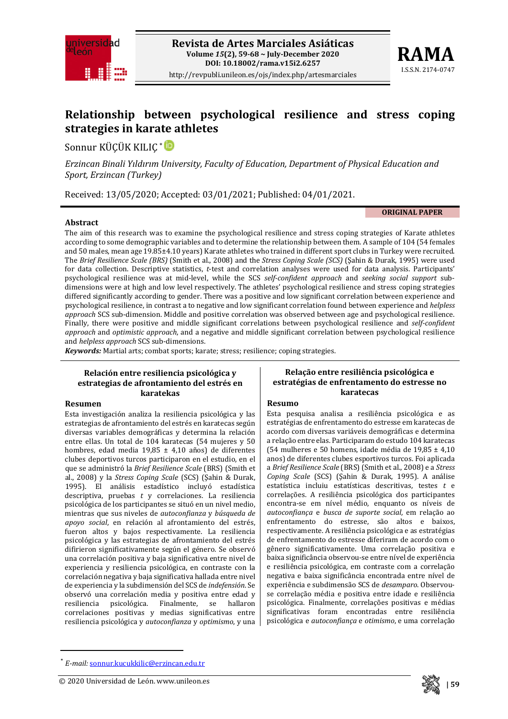



# **Relationship between psychological resilience and stress coping strategies in karate athletes**

Sonnur KÜÇÜK KILIÇ [\\*](#page-0-0)

*Erzincan Binali Yıldırım University, Faculty of Education, Department of Physical Education and Sport, Erzincan (Turkey)*

Received: 13/05/2020; Accepted: 03/01/2021; Published: 04/01/2021.

#### **Abstract**

**ORIGINAL PAPER**

The aim of this research was to examine the psychological resilience and stress coping strategies of Karate athletes according to some demographic variables and to determine the relationship between them. A sample of 104 (54 females and 50 males, mean age 19.85±4.10 years) Karate athletes who trained in different sport clubs in Turkey were recruited. The *Brief Resilience Scale (BRS)* (Smith et al., 2008) and the *Stress Coping Scale (SCS)* (Şahin & Durak, 1995) were used for data collection. Descriptive statistics, *t*-test and correlation analyses were used for data analysis. Participants' psychological resilience was at mid-level, while the SCS *self-confident approach* and *seeking social support* subdimensions were at high and low level respectively. The athletes' psychological resilience and stress coping strategies differed significantly according to gender. There was a positive and low significant correlation between experience and psychological resilience, in contrast a to negative and low significant correlation found between experience and *helpless approach* SCS sub-dimension. Middle and positive correlation was observed between age and psychological resilience. Finally, there were positive and middle significant correlations between psychological resilience and *self-confident approach* and *optimistic approach*, and a negative and middle significant correlation between psychological resilience and *helpless approach* SCS sub-dimensions.

*Keywords:* Martial arts; combat sports; karate; stress; resilience; coping strategies.

### **Relación entre resiliencia psicológica y estrategias de afrontamiento del estrés en karatekas**

#### **Resumen**

 $\overline{a}$ 

Esta investigación analiza la resiliencia psicológica y las estrategias de afrontamiento del estrés en karatecas según diversas variables demográficas y determina la relación entre ellas. Un total de 104 karatecas (54 mujeres y 50 hombres, edad media 19,85 ± 4,10 años) de diferentes clubes deportivos turcos participaron en el estudio, en el que se administró la *Brief Resilience Scale* (BRS) (Smith et al., 2008) y la *Stress Coping Scale* (SCS) (Şahin & Durak, 1995). El análisis estadístico incluyó estadística descriptiva, pruebas *t* y correlaciones. La resiliencia psicológica de los participantes se situó en un nivel medio, mientras que sus niveles de *autoconfianza* y *búsqueda de apoyo social*, en relación al afrontamiento del estrés, fueron altos y bajos respectivamente. La resiliencia psicológica y las estrategias de afrontamiento del estrés difirieron significativamente según el género. Se observó una correlación positiva y baja significativa entre nivel de experiencia y resiliencia psicológica, en contraste con la correlación negativa y baja significativa hallada entre nivel de experiencia y la subdimensión del SCS de *indefensión*. Se observó una correlación media y positiva entre edad y psicológica. Finalmente, correlaciones positivas y medias significativas entre resiliencia psicológica y *autoconfianza* y *optimismo*, y una

### **Relação entre resiliência psicológica e estratégias de enfrentamento do estresse no karatecas**

#### **Resumo**

Esta pesquisa analisa a resiliência psicológica e as estratégias de enfrentamento do estresse em karatecas de acordo com diversas variáveis demográficas e determina a relação entre elas. Participaram do estudo 104 karatecas (54 mulheres e 50 homens, idade média de 19,85 ± 4,10 anos) de diferentes clubes esportivos turcos. Foi aplicada a *Brief Resilience Scale* (BRS) (Smith et al., 2008) e a *Stress Coping Scale* (SCS) (Şahin & Durak, 1995). A análise estatística incluiu estatísticas descritivas, testes *t* e correlações. A resiliência psicológica dos participantes encontra-se em nível médio, enquanto os níveis de *autoconfiança* e *busca de suporte social*, em relação ao enfrentamento do estresse, são altos e baixos, respectivamente. A resiliência psicológica e as estratégias de enfrentamento do estresse diferiram de acordo com o gênero significativamente. Uma correlação positiva e baixa significância observou-se entre nível de experiência e resiliência psicológica, em contraste com a correlação negativa e baixa significância encontrada entre nível de experiência e subdimensão SCS de *desamparo*. Observouse correlação média e positiva entre idade e resiliência psicológica. Finalmente, correlações positivas e médias significativas foram encontradas entre resiliência psicológica e *autoconfiança* e *otimismo*, e uma correlação



<span id="page-0-0"></span><sup>\*</sup> *E-mail:* [sonnur.kucukkilic@erzincan.edu.tr](mailto:sonnur.kucukkilic@erzincan.edu.tr)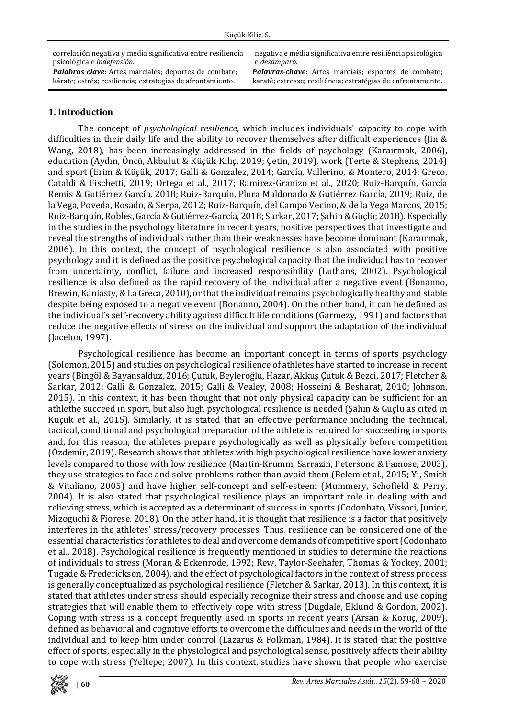| Küçük Kiliç, S.                                                                                                                                            |                                                                                                                                             |  |  |  |
|------------------------------------------------------------------------------------------------------------------------------------------------------------|---------------------------------------------------------------------------------------------------------------------------------------------|--|--|--|
| correlación negativa y media significativa entre resiliencia<br>psicológica e indefensión.<br><b>Palabras clave:</b> Artes marciales; deportes de combate; | negativa e média significativa entre resiliência psicológica<br>e desamparo.<br><b>Palavras-chave:</b> Artes marciais; esportes de combate; |  |  |  |
| kárate; estrés; resiliencia; estrategias de afrontamiento.                                                                                                 | karatê; estresse; resiliência; estratégias de enfrentamento.                                                                                |  |  |  |

## **1. Introduction**

The concept of *psychological resilience*, which includes individuals' capacity to cope with difficulties in their daily life and the ability to recover themselves after difficult experiences (Jin & Wang, 2018), has been increasingly addressed in the fields of psychology (Karaırmak, 2006), education (Aydın, Öncü, Akbulut & Küçük Kılıç, 2019; Çetin, 2019), work (Terte & Stephens, 2014) and sport (Erim & Küçük, 2017; Galli & Gonzalez, 2014; García, Vallerino, & Montero, 2014; Greco, Cataldi & Fischetti, 2019; Ortega et al., 2017; Ramirez-Granizo et al., 2020; Ruiz-Barquín, García Remis & Gutiérrez García, 2018; Ruiz-Barquín, Plura Maldonado & Gutiérrez García, 2019; Ruiz, de la Vega, Poveda, Rosado, & Serpa, 2012; Ruiz-Barquín, del Campo Vecino, & de la Vega Marcos, 2015; Ruiz-Barquín, Robles, García & Gutiérrez-García, 2018; Sarkar, 2017; Şahin & Güçlü; 2018). Especially in the studies in the psychology literature in recent years, positive perspectives that investigate and reveal the strengths of individuals rather than their weaknesses have become dominant (Karaırmak, 2006). In this context, the concept of psychological resilience is also associated with positive psychology and it is defined as the positive psychological capacity that the individual has to recover from uncertainty, conflict, failure and increased responsibility (Luthans, 2002). Psychological resilience is also defined as the rapid recovery of the individual after a negative event (Bonanno, Brewin, Kaniasty, &La Greca, 2010), or that the individual remains psychologically healthy and stable despite being exposed to a negative event (Bonanno, 2004). On the other hand, it can be defined as the individual's self-recovery ability against difficult life conditions (Garmezy, 1991) and factors that reduce the negative effects of stress on the individual and support the adaptation of the individual (Jacelon, 1997).

Psychological resilience has become an important concept in terms of sports psychology (Solomon, 2015) and studies on psychological resilience of athletes have started to increase in recent years (Bingöl & Bayansalduz, 2016; Çutuk, Beyleroğlu, Hazar, Akkuş Çutuk & Bezci, 2017; Fletcher & Sarkar, 2012; Galli & Gonzalez, 2015; Galli & Vealey, 2008; Hosseini & Besharat, 2010; Johnson, 2015). In this context, it has been thought that not only physical capacity can be sufficient for an athlethe succeed in sport, but also high psychological resilience is needed (Şahin & Güçlü as cited in Küçük et al., 2015). Similarly, it is stated that an effective performance including the technical, tactical, conditional and psychological preparation of the athlete is required for succeeding in sports and, for this reason, the athletes prepare psychologically as well as physically before competition (Özdemir, 2019). Research shows that athletes with high psychological resilience have lower anxiety levels compared to those with low resilience (Martin-Krumm, Sarrazin, Petersonc & Famose, 2003), they use strategies to face and solve problems rather than avoid them (Belem et al., 2015; Yi, Smith & Vitaliano, 2005) and have higher self-concept and self-esteem (Mummery, Schofield & Perry, 2004). It is also stated that psychological resilience plays an important role in dealing with and relieving stress, which is accepted as a determinant of success in sports (Codonhato, Vissoci, Junior, Mizoguchi & Fiorese, 2018). On the other hand, it is thought that resilience is a factor that positively interferes in the athletes' stress/recovery processes. Thus, resilience can be considered one of the essential characteristics for athletes to deal and overcome demands of competitive sport (Codonhato et al., 2018). Psychological resilience is frequently mentioned in studies to determine the reactions of individuals to stress (Moran & Eckenrode, 1992; Rew, Taylor-Seehafer, Thomas & Yockey, 2001; Tugade & Frederickson, 2004), and the effect of psychological factors in the context of stress process is generally conceptualized as psychological resilience (Fletcher & Sarkar, 2013). In this context, it is stated that athletes under stress should especially recognize their stress and choose and use coping strategies that will enable them to effectively cope with stress (Dugdale, Eklund & Gordon, 2002). Coping with stress is a concept frequently used in sports in recent years (Arsan & Koruç, 2009), defined as behavioral and cognitive efforts to overcome the difficulties and needs in the world of the individual and to keep him under control (Lazarus & Folkman, 1984). It is stated that the positive effect of sports, especially in the physiological and psychological sense, positively affects their ability to cope with stress (Yeltepe, 2007). In this context, studies have shown that people who exercise

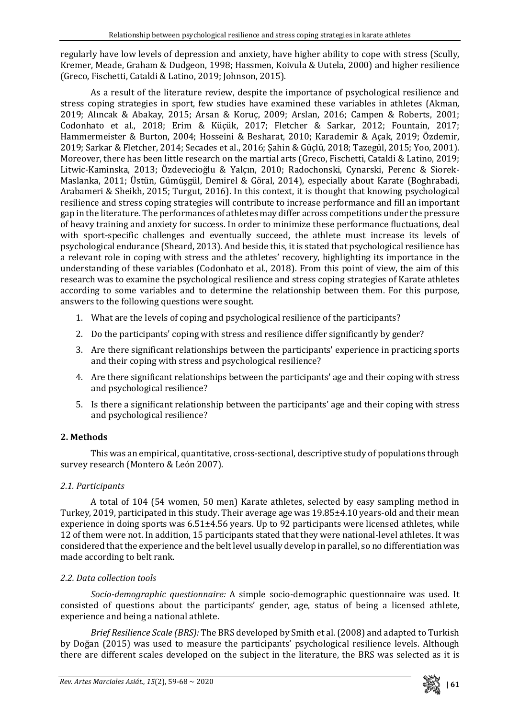regularly have low levels of depression and anxiety, have higher ability to cope with stress (Scully, Kremer, Meade, Graham & Dudgeon, 1998; Hassmen, Koivula & Uutela, 2000) and higher resilience (Greco, Fischetti, Cataldi & Latino, 2019; Johnson, 2015).

As a result of the literature review, despite the importance of psychological resilience and stress coping strategies in sport, few studies have examined these variables in athletes (Akman, 2019; Alıncak & Abakay, 2015; Arsan & Koruç, 2009; Arslan, 2016; Campen & Roberts, 2001; Codonhato et al., 2018; Erim & Küçük, 2017; Fletcher & Sarkar, 2012; Fountain, 2017; Hammermeister & Burton, 2004; Hosseini & Besharat, 2010; Karademir & Açak, 2019; Özdemir, 2019; Sarkar & Fletcher, 2014; Secades et al., 2016; Şahin & Güçlü, 2018; Tazegül, 2015; Yoo, 2001). Moreover, there has been little research on the martial arts (Greco, Fischetti, Cataldi & Latino, 2019; Litwic-Kaminska, 2013; Özdevecioğlu & Yalçın, 2010; Radochonski, Cynarski, Perenc & Siorek-Maslanka, 2011; Üstün, Gümüşgül, Demirel & Göral, 2014), especially about Karate (Boghrabadi, Arabameri & Sheikh, 2015; Turgut, 2016). In this context, it is thought that knowing psychological resilience and stress coping strategies will contribute to increase performance and fill an important gap in the literature. The performances of athletes may differ across competitions under the pressure of heavy training and anxiety for success. In order to minimize these performance fluctuations, deal with sport-specific challenges and eventually succeed, the athlete must increase its levels of psychological endurance (Sheard, 2013). And beside this, it is stated that psychological resilience has a relevant role in coping with stress and the athletes' recovery, highlighting its importance in the understanding of these variables (Codonhato et al., 2018). From this point of view, the aim of this research was to examine the psychological resilience and stress coping strategies of Karate athletes according to some variables and to determine the relationship between them. For this purpose, answers to the following questions were sought.

- 1. What are the levels of coping and psychological resilience of the participants?
- 2. Do the participants' coping with stress and resilience differ significantly by gender?
- 3. Are there significant relationships between the participants' experience in practicing sports and their coping with stress and psychological resilience?
- 4. Are there significant relationships between the participants' age and their coping with stress and psychological resilience?
- 5. Is there a significant relationship between the participants' age and their coping with stress and psychological resilience?

# **2. Methods**

This was an empirical, quantitative, cross-sectional, descriptive study of populations through survey research (Montero & León 2007).

# *2.1. Participants*

A total of 104 (54 women, 50 men) Karate athletes, selected by easy sampling method in Turkey, 2019, participated in this study. Their average age was 19.85±4.10 years-old and their mean experience in doing sports was 6.51±4.56 years. Up to 92 participants were licensed athletes, while 12 of them were not. In addition, 15 participants stated that they were national-level athletes. It was considered that the experience and the belt level usually develop in parallel, so no differentiation was made according to belt rank.

# *2.2. Data collection tools*

*Socio-demographic questionnaire:* A simple socio-demographic questionnaire was used. It consisted of questions about the participants' gender, age, status of being a licensed athlete, experience and being a national athlete.

*Brief Resilience Scale (BRS):* The BRS developed by Smith et al. (2008) and adapted to Turkish by Doğan (2015) was used to measure the participants' psychological resilience levels. Although there are different scales developed on the subject in the literature, the BRS was selected as it is

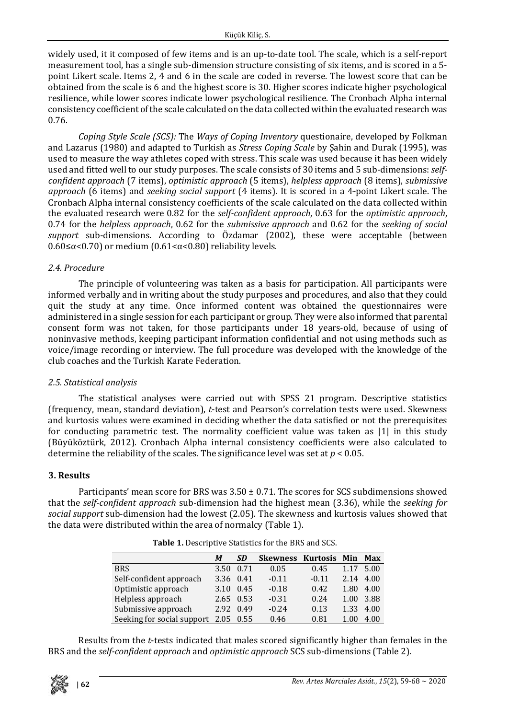widely used, it it composed of few items and is an up-to-date tool. The scale, which is a self-report measurement tool, has a single sub-dimension structure consisting of six items, and is scored in a 5 point Likert scale. Items 2, 4 and 6 in the scale are coded in reverse. The lowest score that can be obtained from the scale is 6 and the highest score is 30. Higher scores indicate higher psychological resilience, while lower scores indicate lower psychological resilience. The Cronbach Alpha internal consistency coefficient of the scale calculated on the data collected within the evaluated research was 0.76.

*Coping Style Scale (SCS):* The *Ways of Coping Inventory* questionaire, developed by Folkman and Lazarus (1980) and adapted to Turkish as *Stress Coping Scale* by Şahin and Durak (1995), was used to measure the way athletes coped with stress. This scale was used because it has been widely used and fitted well to our study purposes. The scale consists of 30 items and 5 sub-dimensions: *selfconfident approach* (7 items), *optimistic approach* (5 items), *helpless approach* (8 items), *submissive approach* (6 items) and *seeking social support* (4 items). It is scored in a 4-point Likert scale. The Cronbach Alpha internal consistency coefficients of the scale calculated on the data collected within the evaluated research were 0.82 for the *self-confident approach*, 0.63 for the *optimistic approach*, 0.74 for the *helpless approach*, 0.62 for the *submissive approach* and 0.62 for the *seeking of social support* sub-dimensions. According to Özdamar (2002), these were acceptable (between 0.60≤α<0.70) or medium (0.61<α<0.80) reliability levels.

## *2.4. Procedure*

The principle of volunteering was taken as a basis for participation. All participants were informed verbally and in writing about the study purposes and procedures, and also that they could quit the study at any time. Once informed content was obtained the questionnaires were administered in a single session for each participant or group. They were also informed that parental consent form was not taken, for those participants under 18 years-old, because of using of noninvasive methods, keeping participant information confidential and not using methods such as voice/image recording or interview. The full procedure was developed with the knowledge of the club coaches and the Turkish Karate Federation.

# *2.5. Statistical analysis*

The statistical analyses were carried out with SPSS 21 program. Descriptive statistics (frequency, mean, standard deviation), *t*-test and Pearson's correlation tests were used. Skewness and kurtosis values were examined in deciding whether the data satisfied or not the prerequisites for conducting parametric test. The normality coefficient value was taken as |1| in this study (Büyüköztürk, 2012). Cronbach Alpha internal consistency coefficients were also calculated to determine the reliability of the scales. The significance level was set at  $p < 0.05$ .

# **3. Results**

Participants' mean score for BRS was  $3.50 \pm 0.71$ . The scores for SCS subdimensions showed that the *self-confident approach* sub-dimension had the highest mean (3.36), while the *seeking for social support* sub-dimension had the lowest (2.05). The skewness and kurtosis values showed that the data were distributed within the area of normalcy (Table 1).

|                                 | М         | SD        | <b>Skewness Kurtosis</b> |         | Min  | Max       |
|---------------------------------|-----------|-----------|--------------------------|---------|------|-----------|
| <b>BRS</b>                      | 3.50      | 0.71      | 0.05                     | 0.45    | 1.17 | 5.00      |
| Self-confident approach         | 3.36 0.41 |           | $-0.11$                  | $-0.11$ | 2.14 | 4.00      |
| Optimistic approach             | 3.10      | 0.45      | $-0.18$                  | 0.42    | 1.80 | 4.00      |
| Helpless approach               |           | 2.65 0.53 | $-0.31$                  | 0.24    |      | 1.00 3.88 |
| Submissive approach             | 2.92      | 0.49      | $-0.24$                  | 0.13    | 1.33 | 4.00      |
| Seeking for social support 2.05 |           | 0.55      | 0.46                     | 0.81    | 1.00 | 4.00      |

**Table 1.** Descriptive Statistics for the BRS and SCS.

Results from the *t*-tests indicated that males scored significantly higher than females in the BRS and the *self-confident approach* and *optimistic approach* SCS sub-dimensions (Table 2).

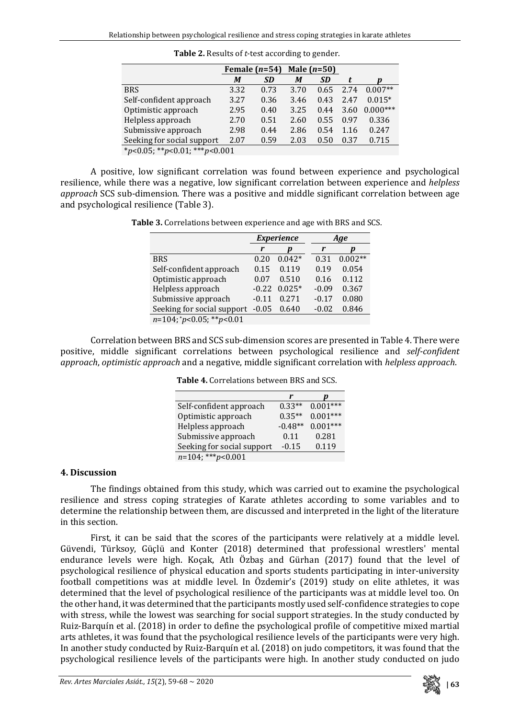|                               | Female $(n=54)$ |           | Male $(n=50)$ |           |      |            |
|-------------------------------|-----------------|-----------|---------------|-----------|------|------------|
|                               | M               | <b>SD</b> | М             | <b>SD</b> | t.   |            |
| <b>BRS</b>                    | 3.32            | 0.73      | 3.70          | 0.65      | 2.74 | $0.007**$  |
| Self-confident approach       | 3.27            | 0.36      | 3.46          | 0.43      | 2.47 | $0.015*$   |
| Optimistic approach           | 2.95            | 0.40      | 3.25          | 0.44      | 3.60 | $0.000***$ |
| Helpless approach             | 2.70            | 0.51      | 2.60          | 0.55      | 0.97 | 0.336      |
| Submissive approach           | 2.98            | 0.44      | 2.86          | 0.54      | 1.16 | 0.247      |
| Seeking for social support    | 2.07            | 0.59      | 2.03          | 0.50      | 0.37 | 0.715      |
| *p<0.05; **p<0.01; ***p<0.001 |                 |           |               |           |      |            |

**Table 2.** Results of *t*-test according to gender.

A positive, low significant correlation was found between experience and psychological resilience, while there was a negative, low significant correlation between experience and *helpless approach* SCS sub-dimension. There was a positive and middle significant correlation between age and psychological resilience (Table 3).

**Table 3.** Correlations between experience and age with BRS and SCS.

|                                    |         | <b>Experience</b> | Age     |           |  |
|------------------------------------|---------|-------------------|---------|-----------|--|
|                                    | r       |                   | r       |           |  |
| <b>BRS</b>                         | 0.20    | $0.042*$          | 0.31    | $0.002**$ |  |
| Self-confident approach            | 0.15    | 0.119             | 0.19    | 0.054     |  |
| Optimistic approach                | 0.07    | 0.510             | 0.16    | 0.112     |  |
| Helpless approach                  | $-0.22$ | $0.025*$          | $-0.09$ | 0.367     |  |
| Submissive approach                | $-0.11$ | 0.271             | $-0.17$ | 0.080     |  |
| Seeking for social support         | $-0.05$ | 0.640             | $-0.02$ | 0.846     |  |
| $n=104$ ; * $p<0.05$ ; ** $p<0.01$ |         |                   |         |           |  |

Correlation between BRS and SCS sub-dimension scores are presented in Table 4. There were positive, middle significant correlations between psychological resilience and *self-confident approach*, *optimistic approach* and a negative, middle significant correlation with *helpless approach*.

| <b>Table 4.</b> Correlations between BRS and SCS. |
|---------------------------------------------------|
|---------------------------------------------------|

|                            | r         |            |
|----------------------------|-----------|------------|
| Self-confident approach    | $0.33**$  | $0.001***$ |
| Optimistic approach        | $0.35**$  | $0.001***$ |
| Helpless approach          | $-0.48**$ | $0.001***$ |
| Submissive approach        | 0.11      | 0.281      |
| Seeking for social support | $-0.15$   | 0.119      |
| $n=104$ ; *** $p<0.001$    |           |            |

### **4. Discussion**

The findings obtained from this study, which was carried out to examine the psychological resilience and stress coping strategies of Karate athletes according to some variables and to determine the relationship between them, are discussed and interpreted in the light of the literature in this section.

First, it can be said that the scores of the participants were relatively at a middle level. Güvendi, Türksoy, Güçlü and Konter (2018) determined that professional wrestlers' mental endurance levels were high. Koçak, Atlı Özbaş and Gürhan (2017) found that the level of psychological resilience of physical education and sports students participating in inter-university football competitions was at middle level. In Özdemir's (2019) study on elite athletes, it was determined that the level of psychological resilience of the participants was at middle level too. On the other hand, it was determined that the participants mostly used self-confidence strategies to cope with stress, while the lowest was searching for social support strategies. In the study conducted by Ruiz-Barquín et al. (2018) in order to define the psychological profile of competitive mixed martial arts athletes, it was found that the psychological resilience levels of the participants were very high. In another study conducted by Ruiz-Barquín et al. (2018) on judo competitors, it was found that the psychological resilience levels of the participants were high. In another study conducted on judo

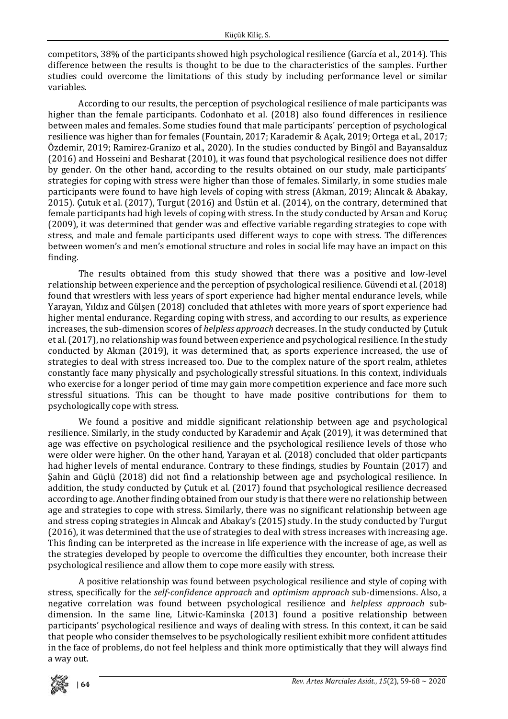competitors, 38% of the participants showed high psychological resilience (García et al., 2014). This difference between the results is thought to be due to the characteristics of the samples. Further studies could overcome the limitations of this study by including performance level or similar variables.

According to our results, the perception of psychological resilience of male participants was higher than the female participants. Codonhato et al. (2018) also found differences in resilience between males and females. Some studies found that male participants' perception of psychological resilience was higher than for females (Fountain, 2017; Karademir & Açak, 2019; Ortega et al., 2017; Özdemir, 2019; Ramirez-Granizo et al., 2020). In the studies conducted by Bingöl and Bayansalduz (2016) and Hosseini and Besharat (2010), it was found that psychological resilience does not differ by gender. On the other hand, according to the results obtained on our study, male participants' strategies for coping with stress were higher than those of females. Similarly, in some studies male participants were found to have high levels of coping with stress (Akman, 2019; Alıncak & Abakay, 2015). Çutuk et al. (2017), Turgut (2016) and Üstün et al. (2014), on the contrary, determined that female participants had high levels of coping with stress. In the study conducted by Arsan and Koruç (2009), it was determined that gender was and effective variable regarding strategies to cope with stress, and male and female participants used different ways to cope with stress. The differences between women's and men's emotional structure and roles in social life may have an impact on this finding.

The results obtained from this study showed that there was a positive and low-level relationship between experience and the perception of psychological resilience. Güvendi et al. (2018) found that wrestlers with less years of sport experience had higher mental endurance levels, while Yarayan, Yıldız and Gülşen (2018) concluded that athletes with more years of sport experience had higher mental endurance. Regarding coping with stress, and according to our results, as experience increases, the sub-dimension scores of *helpless approach* decreases. In the study conducted by Çutuk et al. (2017), no relationship was found between experience and psychological resilience. In the study conducted by Akman (2019), it was determined that, as sports experience increased, the use of strategies to deal with stress increased too. Due to the complex nature of the sport realm, athletes constantly face many physically and psychologically stressful situations. In this context, individuals who exercise for a longer period of time may gain more competition experience and face more such stressful situations. This can be thought to have made positive contributions for them to psychologically cope with stress.

We found a positive and middle significant relationship between age and psychological resilience. Similarly, in the study conducted by Karademir and Açak (2019), it was determined that age was effective on psychological resilience and the psychological resilience levels of those who were older were higher. On the other hand, Yarayan et al. (2018) concluded that older particpants had higher levels of mental endurance. Contrary to these findings, studies by Fountain (2017) and Şahin and Güçlü (2018) did not find a relationship between age and psychological resilience. In addition, the study conducted by Çutuk et al. (2017) found that psychological resilience decreased according to age. Another finding obtained from our study is that there were no relationship between age and strategies to cope with stress. Similarly, there was no significant relationship between age and stress coping strategies in Alıncak and Abakay's (2015) study. In the study conducted by Turgut (2016), it was determined that the use of strategies to deal with stress increases with increasing age. This finding can be interpreted as the increase in life experience with the increase of age, as well as the strategies developed by people to overcome the difficulties they encounter, both increase their psychological resilience and allow them to cope more easily with stress.

A positive relationship was found between psychological resilience and style of coping with stress, specifically for the *self-confidence approach* and *optimism approach* sub-dimensions. Also, a negative correlation was found between psychological resilience and *helpless approach* subdimension. In the same line, Litwic-Kaminska (2013) found a positive relationship between participants' psychological resilience and ways of dealing with stress. In this context, it can be said that people who consider themselves to be psychologically resilient exhibit more confident attitudes in the face of problems, do not feel helpless and think more optimistically that they will always find a way out.

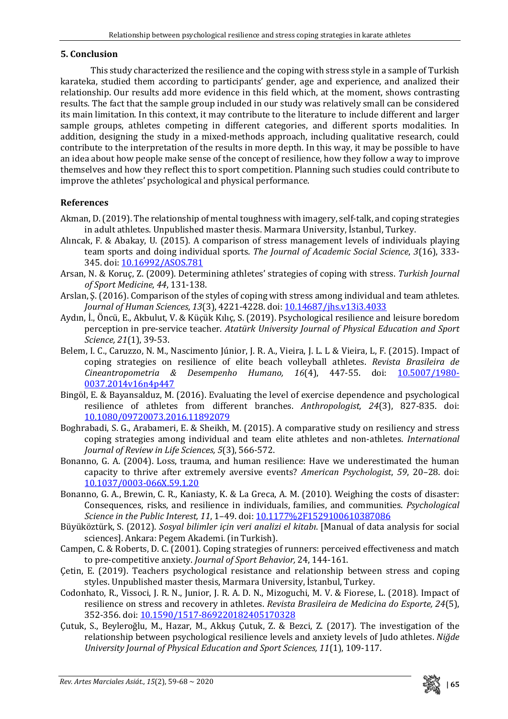## **5. Conclusion**

This study characterized the resilience and the coping with stress style in a sample of Turkish karateka, studied them according to participants' gender, age and experience, and analized their relationship. Our results add more evidence in this field which, at the moment, shows contrasting results. The fact that the sample group included in our study was relatively small can be considered its main limitation. In this context, it may contribute to the literature to include different and larger sample groups, athletes competing in different categories, and different sports modalities. In addition, designing the study in a mixed-methods approach, including qualitative research, could contribute to the interpretation of the results in more depth. In this way, it may be possible to have an idea about how people make sense of the concept of resilience, how they follow a way to improve themselves and how they reflect this to sport competition. Planning such studies could contribute to improve the athletes' psychological and physical performance.

# **References**

- Akman, D. (2019). The relationship of mental toughness with imagery, self-talk, and coping strategies in adult athletes. Unpublished master thesis. Marmara University, İstanbul, Turkey.
- Alıncak, F. & Abakay, U. (2015). A comparison of stress management levels of individuals playing team sports and doing individual sports. *The Journal of Academic Social Science*, *3*(16), 333- 345. doi[: 10.16992/ASOS.781](http://dx.doi.org/10.16992/ASOS.781)
- Arsan, N. & Koruç, Z. (2009). Determining athletes' strategies of coping with stress. *Turkish Journal of Sport Medicine*, *44*, 131-138.
- Arslan, Ş. (2016). Comparison of the styles of coping with stress among individual and team athletes. *Journal of Human Sciences*, *13*(3), 4221-4228. doi[: 10.14687/jhs.v13i3.4033](http://dx.doi.org/10.14687/jhs.v13i3.4033)
- Aydın, İ., Öncü, E., Akbulut, V. & Küçük Kılıç, S. (2019). Psychological resilience and leisure boredom perception in pre-service teacher. *Atatürk University Journal of Physical Education and Sport Science, 21*(1), 39-53.
- Belem, I. C., Caruzzo, N. M., Nascimento Júnior, J. R. A., Vieira, J. L. L & Vieira, L, F. (2015). Impact of coping strategies on resilience of elite beach volleyball athletes. *Revista Brasileira de Cineantropometria & Desempenho Humano, 16*(4), 447-55. doi: [10.5007/1980-](http://dx.doi.org/10.5007/1980-0037.2014v16n4p447) [0037.2014v16n4p447](http://dx.doi.org/10.5007/1980-0037.2014v16n4p447)
- Bingöl, E. & Bayansalduz, M. (2016). Evaluating the level of exercise dependence and psychological resilience of athletes from different branches. *Anthropologist, 24*(3), 827-835. doi: [10.1080/09720073.2016.11892079](https://doi.org/10.1080/09720073.2016.11892079)
- Boghrabadi, S. G., Arabameri, E. & Sheikh, M. (2015). A comparative study on resiliency and stress coping strategies among individual and team elite athletes and non-athletes. *International Journal of Review in Life Sciences, 5*(3), 566-572.
- Bonanno, G. A. (2004). Loss, trauma, and human resilience: Have we underestimated the human capacity to thrive after extremely aversive events? *American Psychologist*, *59*, 20–28. doi: [10.1037/0003-066X.59.1.20](https://doi.apa.org/doi/10.1037/0003-066X.59.1.20)
- Bonanno, G. A., Brewin, C. R., Kaniasty, K. & La Greca, A. M. (2010). Weighing the costs of disaster: Consequences, risks, and resilience in individuals, families, and communities. *Psychological Science in the Public Interest, 11, 1-49. doi: [10.1177%2F1529100610387086](https://doi.org/10.1177%2F1529100610387086)*
- Büyüköztürk, S. (2012). *Sosyal bilimler için veri analizi el kitabı*. [Manual of data analysis for social sciences]. Ankara: Pegem Akademi. (in Turkish).
- Campen, C. & Roberts, D. C. (2001). Coping strategies of runners: perceived effectiveness and match to pre-competitive anxiety. *Journal of Sport Behavior,* 24, 144-161.
- Çetin, E. (2019). Teachers psychological resistance and relationship between stress and coping styles. Unpublished master thesis, Marmara University, İstanbul, Turkey.
- Codonhato, R., Vissoci, J. R. N., Junior, J. R. A. D. N., Mizoguchi, M. V. & Fiorese, L. (2018). Impact of resilience on stress and recovery in athletes. *Revista Brasileira de Medicina do Esporte, 24*(5), 352-356. doi[: 10.1590/1517-869220182405170328](https://doi.org/10.1590/1517-869220182405170328)
- Çutuk, S., Beyleroğlu, M., Hazar, M., Akkuş Çutuk, Z. & Bezci, Z. (2017). The investigation of the relationship between psychological resilience levels and anxiety levels of Judo athletes. *Niğde University Journal of Physical Education and Sport Sciences, 11*(1), 109-117.

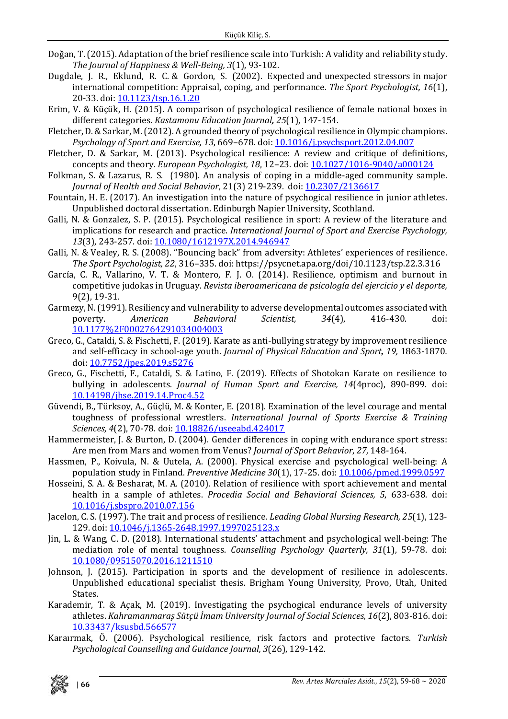- Doğan, T.(2015). Adaptation of the brief resilience scale into Turkish: A validity and reliability study. *The Journal of Happiness & Well-Being, 3*(1), 93-102.
- Dugdale, J. R., Eklund, R. C. & Gordon, S. (2002). Expected and unexpected stressors in major international competition: Appraisal, coping, and performance. *The Sport Psychologist, 16*(1), 20-33. doi: [10.1123/tsp.16.1.20](https://doi.org/10.1123/tsp.16.1.20)
- Erim, V. & Küçük, H. (2015). A comparison of psychological resilience of female national boxes in different categories. *Kastamonu Education Journal, 25*(1), 147-154.
- Fletcher, D. & Sarkar, M. (2012). A grounded theory of psychological resilience in Olympic champions. *Psychology of Sport and Exercise, 13*, 669–678. doi[: 10.1016/j.psychsport.2012.04.007](https://doi.org/10.1016/j.psychsport.2012.04.007)
- Fletcher, D. & Sarkar, M. (2013). Psychological resilience: A review and critique of definitions, concepts and theory. *European Psychologist, 18*, 12–23. doi[: 10.1027/1016-9040/a000124](https://psycnet.apa.org/doi/10.1027/1016-9040/a000124)
- Folkman, S. & Lazarus, R. S. (1980). An analysis of coping in a middle-aged community sample. *Journal of Health and Social Behavior*, 21(3) 219-239. doi: [10.2307/2136617](https://doi.org/10.2307/2136617)
- Fountain, H. E. (2017). An investigation into the nature of psychogical resilience in junior athletes. Unpublished doctoral dissertation. Edinburgh Napier University, Scothland.
- Galli, N. & Gonzalez, S. P. (2015). Psychological resilience in sport: A review of the literature and implications for research and practice. *International Journal of Sport and Exercise Psychology, 13*(3), 243-257. doi: [10.1080/1612197X.2014.946947](https://doi.org/10.1080/1612197X.2014.946947)
- Galli, N. & Vealey, R. S. (2008). "Bouncing back" from adversity: Athletes' experiences of resilience. *The Sport Psychologist, 22*, 316–335. doi: https://psycnet.apa.org/doi/10.1123/tsp.22.3.316
- García, C. R., Vallarino, V. T. & Montero, F. J. O. (2014). Resilience, optimism and burnout in competitive judokas in Uruguay. *Revista iberoamericana de psicología del ejercicio y el deporte,*  9(2), 19-31.
- Garmezy, N. (1991). Resiliency and vulnerability to adverse developmental outcomes associated with<br>poverty. American Behavioral Scientist. 34(4). 416-430. doi: poverty. *American Behavioral Scientist, 34*(4), 416-430. doi: [10.1177%2F0002764291034004003](https://doi.org/10.1177%2F0002764291034004003)
- Greco, G., Cataldi, S. & Fischetti, F. (2019). Karate as anti-bullying strategy by improvement resilience and self-efficacy in school-age youth. *Journal of Physical Education and Sport, 19,* 1863-1870*.*  doi[: 10.7752/jpes.2019.s5276](http://dx.doi.org/10.7752/jpes.2019.s5276)
- Greco, G., Fischetti, F., Cataldi, S. & Latino, F. (2019). Effects of Shotokan Karate on resilience to bullying in adolescents. *Journal of Human Sport and Exercise, 14*(4proc), 890-899. doi: [10.14198/jhse.2019.14.Proc4.52](http://dx.doi.org/10.14198/jhse.2019.14.Proc4.52)
- Güvendi, B., Türksoy, A., Güçlü, M. & Konter, E. (2018). Examination of the level courage and mental toughness of professional wrestlers. *International Journal of Sports Exercise & Training Sciences, 4*(2), 70-78. doi[: 10.18826/useeabd.424017](https://doi.org/10.18826/useeabd.424017)
- Hammermeister, J. & Burton, D. (2004). Gender differences in coping with endurance sport stress: Are men from Mars and women from Venus? *Journal of Sport Behavior*, *27,* 148-164.
- Hassmen, P., Koivula, N. & Uutela, A. (2000). Physical exercise and psychological well-being: A population study in Finland. *Preventive Medicine 30*(1), 17-25. doi[: 10.1006/pmed.1999.0597](https://doi.org/10.1006/pmed.1999.0597)
- Hosseini, S. A. & Besharat, M. A. (2010). Relation of resilience with sport achievement and mental health in a sample of athletes. *Procedia Social and Behavioral Sciences, 5*, 633-638. doi: [10.1016/j.sbspro.2010.07.156](https://doi.org/10.1016/j.sbspro.2010.07.156)
- Jacelon, C. S. (1997). The trait and process of resilience. *Leading Global Nursing Research, 25*(1), 123- 129. doi: [10.1046/j.1365-2648.1997.1997025123.x](https://doi.org/10.1046/j.1365-2648.1997.1997025123.x)
- Jin, L. & Wang, C. D. (2018). International students' attachment and psychological well-being: The mediation role of mental toughness. *Counselling Psychology Quarterly, 31*(1), 59-78. doi: [10.1080/09515070.2016.1211510](https://doi.org/10.1080/09515070.2016.1211510)
- Johnson, J. (2015). Participation in sports and the development of resilience in adolescents. Unpublished educational specialist thesis. Brigham Young University, Provo, Utah, United States.
- Karademir, T. & Açak, M. (2019). Investigating the psychogical endurance levels of university athletes. *Kahramanmaraş Sütçü İmam University Journal of Social Sciences, 16*(2), 803-816. doi: [10.33437/ksusbd.566577](https://doi.org/10.33437/ksusbd.566577)
- Karaırmak, Ö. (2006). Psychological resilience, risk factors and protective factors. *Turkish Psychological Counseiling and Guidance Journal, 3*(26), 129-142.

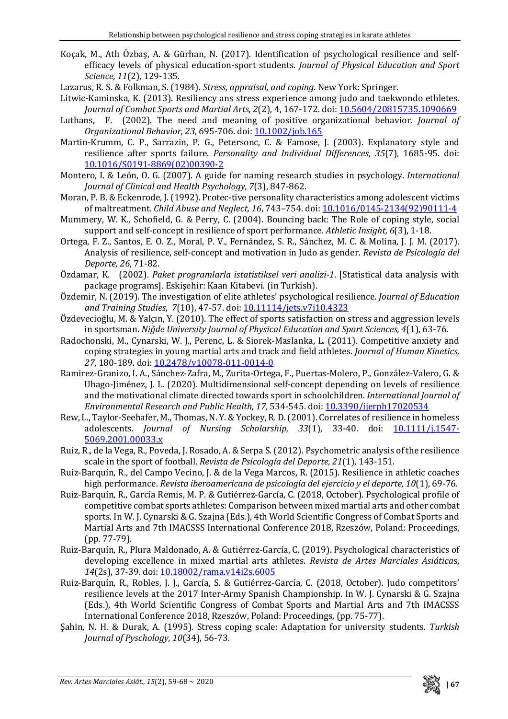- Koçak, M., Atlı Özbaş, A. & Gürhan, N. (2017). Identification of psychological resilience and selfefficacy levels of physical education-sport students. *Journal of Physical Education and Sport Science, 11*(2), 129-135.
- Lazarus, R. S. & Folkman, S. (1984). *Stress, appraisal, and coping*. New York: Springer.
- Litwic-Kaminska, K. (2013). Resiliency ans stress experience among judo and taekwondo ethletes. *Journal of Combat Sports and Martial Arts, 2*(2), 4, 167-172. doi[: 10.5604/20815735.1090669](http://dx.doi.org/10.5604/20815735.1090669)
- Luthans, F. (2002). The need and meaning of positive organizational behavior. *Journal of Organizational Behavior, 23*, 695-706. doi[: 10.1002/job.165](https://doi.org/10.1002/job.165)
- Martin-Krumm, C. P., Sarrazin, P. G., Petersonc, C. & Famose, J. (2003). Explanatory style and resilience after sports failure. *Personality and Individual Differences*, *35*(7), 1685-95. doi: [10.1016/S0191-8869\(02\)00390-2](http://dx.doi.org/10.1016/S0191-8869(02)00390-2)
- Montero, I. & León, O. G. (2007). A guide for naming research studies in psychology. *International Journal of Clinical and Health Psychology, 7*(3), 847-862.
- Moran, P. B. & Eckenrode, J. (1992). Protec-tive personality characteristics among adolescent victims of maltreatment. *Child Abuse and Neglect, 16*, 743–754. doi: [10.1016/0145-2134\(92\)90111-4](https://doi.org/10.1016/0145-2134(92)90111-4)
- Mummery, W. K., Schofield, G. & Perry, C. (2004). Bouncing back: The Role of coping style, social support and self-concept in resilience of sport performance. *Athletic Insight, 6*(3), 1-18.
- Ortega, F. Z., Santos, E. O. Z., Moral, P. V., Fernández, S. R., Sánchez, M. C. & Molina, J. J. M. (2017). Analysis of resilience, self-concept and motivation in Judo as gender. *Revista de Psicología del Deporte, 26*, 71-82.
- Özdamar, K. (2002). *Paket programlarla istatistiksel veri analizi-1*. [Statistical data analysis with package programs]. Eskişehir: Kaan Kitabevi. (in Turkish).
- Özdemir, N. (2019). The investigation of elite athletes' psychological resilience. *Journal of Education and Training Studies, 7*(10), 47-57. doi[: 10.11114/jets.v7i10.4323](https://doi.org/10.11114/jets.v7i10.4323)
- Özdevecioğlu, M. & Yalçın, Y. (2010). The effect of sports satisfaction on stress and aggression levels in sportsman. *Niğde University Journal of Physical Education and Sport Sciences, 4*(1), 63-76.
- Radochonski, M., Cynarski, W. J., Perenc, L. & Siorek-Maslanka, L. (2011). Competitive anxiety and coping strategies in young martial arts and track and field athletes. *Journal of Human Kinetics, 27*, 180-189. doi[: 10.2478/v10078-011-0014-0](https://doi.org/10.2478/v10078-011-0014-0)
- Ramirez-Granizo, I. A., Sánchez-Zafra, M., Zurita-Ortega, F., Puertas-Molero, P., González-Valero, G. & Ubago-Jiménez, J. L. (2020). Multidimensional self-concept depending on levels of resilience and the motivational climate directed towards sport in schoolchildren. *International Journal of Environmental Research and Public Health, 17*, 534-545. doi[: 10.3390/ijerph17020534](https://doi.org/10.3390/ijerph17020534)
- Rew, L., Taylor-Seehafer, M., Thomas, N. Y. & Yockey, R. D. (2001). Correlates of resilience in homeless adolescents. *Journal of Nursing Scholarship, 33*(1), 33-40. doi: [10.1111/j.1547-](https://doi.org/10.1111/j.1547-5069.2001.00033.x) [5069.2001.00033.x](https://doi.org/10.1111/j.1547-5069.2001.00033.x)
- Ruiz, R., de la Vega, R., Poveda, J. Rosado, A. & Serpa S. (2012). Psychometric analysis of the resilience scale in the sport of football. *Revista de Psicología del Deporte, 21*(1), 143-151.
- Ruiz-Barquín, R., del Campo Vecino, J. & de la Vega Marcos, R. (2015). Resilience in athletic coaches high performance. *Revista iberoamericana de psicología del ejercicio y el deporte, 10*(1), 69-76.
- Ruiz-Barquín, R., García Remis, M. P. & Gutiérrez-García, C. (2018, October). Psychological profile of competitive combat sports athletes: Comparison between mixed martial arts and other combat sports. In W. J. Cynarski & G. Szajna (Eds.), 4th World Scientific Congress of Combat Sports and Martial Arts and 7th IMACSSS International Conference 2018, Rzeszów, Poland: Proceedings, (pp. 77-79).
- Ruiz-Barquín, R., Plura Maldonado, A. & Gutiérrez-García, C. (2019). Psychological characteristics of developing excellence in mixed martial arts athletes. *Revista de Artes Marciales Asiática*s, *14*(2s), 37-39. doi: [10.18002/rama.v14i2s.6005](http://dx.doi.org/10.18002/rama.v14i2s.6005)
- Ruiz-Barquín, R., Robles, J. J., García, S. & Gutiérrez-García, C. (2018, October). Judo competitors' resilience levels at the 2017 Inter-Army Spanish Championship. In W. J. Cynarski & G. Szajna (Eds.), 4th World Scientific Congress of Combat Sports and Martial Arts and 7th IMACSSS International Conference 2018, Rzeszów, Poland: Proceedings, (pp. 75-77).
- Şahin, N. H. & Durak, A. (1995). Stress coping scale: Adaptation for university students. *Turkish Journal of Pyschology, 10*(34), 56-73.